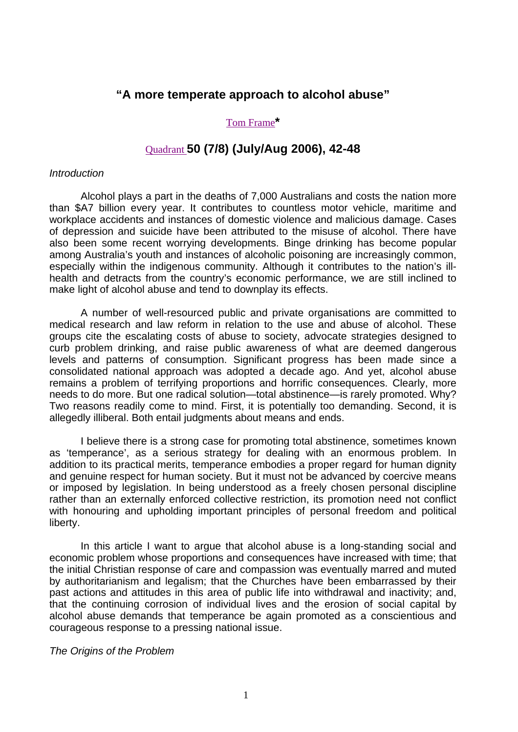## **"A more temperate approach to alcohol abuse"**

### Tom Frame**[\\*](http://www.anglican.org.au/defence/bishop.htm)**

# Quadrant **[50 \(7/8\) \(July/Aug 2006\), 42-48](http://www.quadrant.org.au/)**

#### *Introduction*

Alcohol plays a part in the deaths of 7,000 Australians and costs the nation more than \$A7 billion every year. It contributes to countless motor vehicle, maritime and workplace accidents and instances of domestic violence and malicious damage. Cases of depression and suicide have been attributed to the misuse of alcohol. There have also been some recent worrying developments. Binge drinking has become popular among Australia's youth and instances of alcoholic poisoning are increasingly common, especially within the indigenous community. Although it contributes to the nation's illhealth and detracts from the country's economic performance, we are still inclined to make light of alcohol abuse and tend to downplay its effects.

A number of well-resourced public and private organisations are committed to medical research and law reform in relation to the use and abuse of alcohol. These groups cite the escalating costs of abuse to society, advocate strategies designed to curb problem drinking, and raise public awareness of what are deemed dangerous levels and patterns of consumption. Significant progress has been made since a consolidated national approach was adopted a decade ago. And yet, alcohol abuse remains a problem of terrifying proportions and horrific consequences. Clearly, more needs to do more. But one radical solution—total abstinence—is rarely promoted. Why? Two reasons readily come to mind. First, it is potentially too demanding. Second, it is allegedly illiberal. Both entail judgments about means and ends.

I believe there is a strong case for promoting total abstinence, sometimes known as 'temperance', as a serious strategy for dealing with an enormous problem. In addition to its practical merits, temperance embodies a proper regard for human dignity and genuine respect for human society. But it must not be advanced by coercive means or imposed by legislation. In being understood as a freely chosen personal discipline rather than an externally enforced collective restriction, its promotion need not conflict with honouring and upholding important principles of personal freedom and political liberty.

In this article I want to argue that alcohol abuse is a long-standing social and economic problem whose proportions and consequences have increased with time; that the initial Christian response of care and compassion was eventually marred and muted by authoritarianism and legalism; that the Churches have been embarrassed by their past actions and attitudes in this area of public life into withdrawal and inactivity; and, that the continuing corrosion of individual lives and the erosion of social capital by alcohol abuse demands that temperance be again promoted as a conscientious and courageous response to a pressing national issue.

#### *The Origins of the Problem*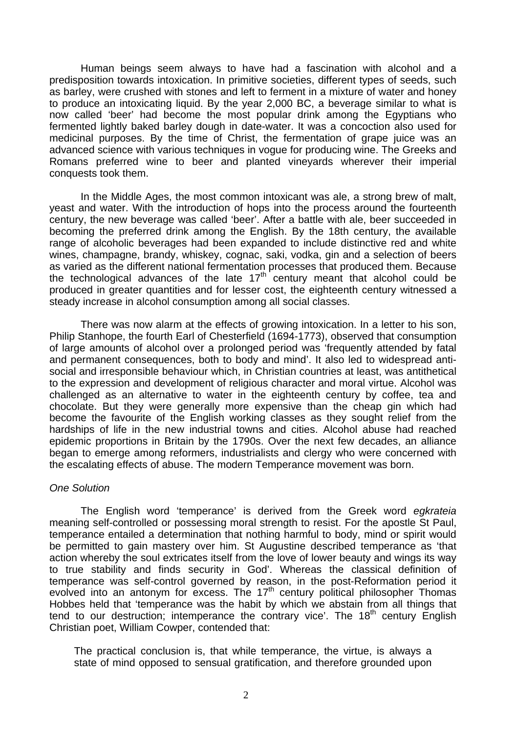Human beings seem always to have had a fascination with alcohol and a predisposition towards intoxication. In primitive societies, different types of seeds, such as barley, were crushed with stones and left to ferment in a mixture of water and honey to produce an intoxicating liquid. By the year 2,000 BC, a beverage similar to what is now called 'beer' had become the most popular drink among the Egyptians who fermented lightly baked barley dough in date-water. It was a concoction also used for medicinal purposes. By the time of Christ, the fermentation of grape juice was an advanced science with various techniques in vogue for producing wine. The Greeks and Romans preferred wine to beer and planted vineyards wherever their imperial conquests took them.

In the Middle Ages, the most common intoxicant was ale, a strong brew of malt, yeast and water. With the introduction of hops into the process around the fourteenth century, the new beverage was called 'beer'. After a battle with ale, beer succeeded in becoming the preferred drink among the English. By the 18th century, the available range of alcoholic beverages had been expanded to include distinctive red and white wines, champagne, brandy, whiskey, cognac, saki, vodka, gin and a selection of beers as varied as the different national fermentation processes that produced them. Because the technological advances of the late  $17<sup>th</sup>$  century meant that alcohol could be produced in greater quantities and for lesser cost, the eighteenth century witnessed a steady increase in alcohol consumption among all social classes.

There was now alarm at the effects of growing intoxication. In a letter to his son, Philip Stanhope, the fourth Earl of Chesterfield (1694-1773), observed that consumption of large amounts of alcohol over a prolonged period was 'frequently attended by fatal and permanent consequences, both to body and mind'. It also led to widespread antisocial and irresponsible behaviour which, in Christian countries at least, was antithetical to the expression and development of religious character and moral virtue. Alcohol was challenged as an alternative to water in the eighteenth century by coffee, tea and chocolate. But they were generally more expensive than the cheap gin which had become the favourite of the English working classes as they sought relief from the hardships of life in the new industrial towns and cities. Alcohol abuse had reached epidemic proportions in Britain by the 1790s. Over the next few decades, an alliance began to emerge among reformers, industrialists and clergy who were concerned with the escalating effects of abuse. The modern Temperance movement was born.

### *One Solution*

The English word 'temperance' is derived from the Greek word *egkrateia* meaning self-controlled or possessing moral strength to resist. For the apostle St Paul, temperance entailed a determination that nothing harmful to body, mind or spirit would be permitted to gain mastery over him. St Augustine described temperance as 'that action whereby the soul extricates itself from the love of lower beauty and wings its way to true stability and finds security in God'. Whereas the classical definition of temperance was self-control governed by reason, in the post-Reformation period it evolved into an antonym for excess. The  $17<sup>th</sup>$  century political philosopher Thomas Hobbes held that 'temperance was the habit by which we abstain from all things that tend to our destruction; intemperance the contrary vice'. The  $18<sup>th</sup>$  century English Christian poet, William Cowper, contended that:

The practical conclusion is, that while temperance, the virtue, is always a state of mind opposed to sensual gratification, and therefore grounded upon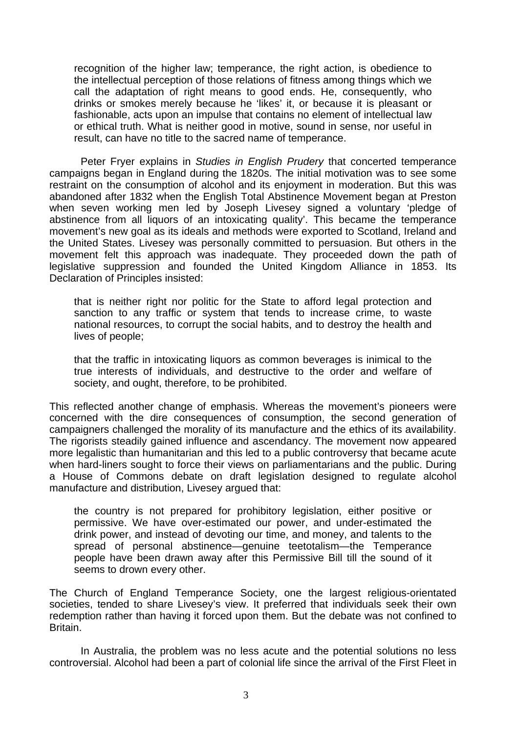recognition of the higher law; temperance, the right action, is obedience to the intellectual perception of those relations of fitness among things which we call the adaptation of right means to good ends. He, consequently, who drinks or smokes merely because he 'likes' it, or because it is pleasant or fashionable, acts upon an impulse that contains no element of intellectual law or ethical truth. What is neither good in motive, sound in sense, nor useful in result, can have no title to the sacred name of temperance.

Peter Fryer explains in *Studies in English Prudery* that concerted temperance campaigns began in England during the 1820s. The initial motivation was to see some restraint on the consumption of alcohol and its enjoyment in moderation. But this was abandoned after 1832 when the English Total Abstinence Movement began at Preston when seven working men led by Joseph Livesey signed a voluntary 'pledge of abstinence from all liquors of an intoxicating quality'. This became the temperance movement's new goal as its ideals and methods were exported to Scotland, Ireland and the United States. Livesey was personally committed to persuasion. But others in the movement felt this approach was inadequate. They proceeded down the path of legislative suppression and founded the United Kingdom Alliance in 1853. Its Declaration of Principles insisted:

that is neither right nor politic for the State to afford legal protection and sanction to any traffic or system that tends to increase crime, to waste national resources, to corrupt the social habits, and to destroy the health and lives of people;

that the traffic in intoxicating liquors as common beverages is inimical to the true interests of individuals, and destructive to the order and welfare of society, and ought, therefore, to be prohibited.

This reflected another change of emphasis. Whereas the movement's pioneers were concerned with the dire consequences of consumption, the second generation of campaigners challenged the morality of its manufacture and the ethics of its availability. The rigorists steadily gained influence and ascendancy. The movement now appeared more legalistic than humanitarian and this led to a public controversy that became acute when hard-liners sought to force their views on parliamentarians and the public. During a House of Commons debate on draft legislation designed to regulate alcohol manufacture and distribution, Livesey argued that:

the country is not prepared for prohibitory legislation, either positive or permissive. We have over-estimated our power, and under-estimated the drink power, and instead of devoting our time, and money, and talents to the spread of personal abstinence—genuine teetotalism—the Temperance people have been drawn away after this Permissive Bill till the sound of it seems to drown every other.

The Church of England Temperance Society, one the largest religious-orientated societies, tended to share Livesey's view. It preferred that individuals seek their own redemption rather than having it forced upon them. But the debate was not confined to Britain.

In Australia, the problem was no less acute and the potential solutions no less controversial. Alcohol had been a part of colonial life since the arrival of the First Fleet in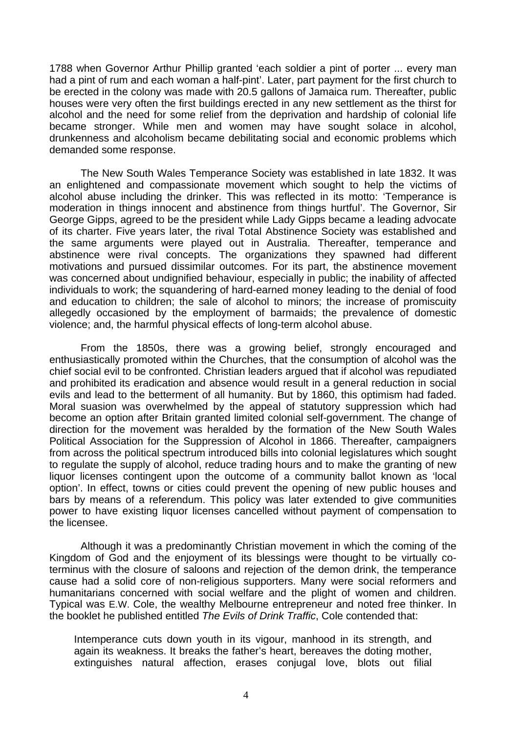1788 when Governor Arthur Phillip granted 'each soldier a pint of porter ... every man had a pint of rum and each woman a half-pint'. Later, part payment for the first church to be erected in the colony was made with 20.5 gallons of Jamaica rum. Thereafter, public houses were very often the first buildings erected in any new settlement as the thirst for alcohol and the need for some relief from the deprivation and hardship of colonial life became stronger. While men and women may have sought solace in alcohol, drunkenness and alcoholism became debilitating social and economic problems which demanded some response.

The New South Wales Temperance Society was established in late 1832. It was an enlightened and compassionate movement which sought to help the victims of alcohol abuse including the drinker. This was reflected in its motto: 'Temperance is moderation in things innocent and abstinence from things hurtful'. The Governor, Sir George Gipps, agreed to be the president while Lady Gipps became a leading advocate of its charter. Five years later, the rival Total Abstinence Society was established and the same arguments were played out in Australia. Thereafter, temperance and abstinence were rival concepts. The organizations they spawned had different motivations and pursued dissimilar outcomes. For its part, the abstinence movement was concerned about undignified behaviour, especially in public; the inability of affected individuals to work; the squandering of hard-earned money leading to the denial of food and education to children; the sale of alcohol to minors; the increase of promiscuity allegedly occasioned by the employment of barmaids; the prevalence of domestic violence; and, the harmful physical effects of long-term alcohol abuse.

From the 1850s, there was a growing belief, strongly encouraged and enthusiastically promoted within the Churches, that the consumption of alcohol was the chief social evil to be confronted. Christian leaders argued that if alcohol was repudiated and prohibited its eradication and absence would result in a general reduction in social evils and lead to the betterment of all humanity. But by 1860, this optimism had faded. Moral suasion was overwhelmed by the appeal of statutory suppression which had become an option after Britain granted limited colonial self-government. The change of direction for the movement was heralded by the formation of the New South Wales Political Association for the Suppression of Alcohol in 1866. Thereafter, campaigners from across the political spectrum introduced bills into colonial legislatures which sought to regulate the supply of alcohol, reduce trading hours and to make the granting of new liquor licenses contingent upon the outcome of a community ballot known as 'local option'. In effect, towns or cities could prevent the opening of new public houses and bars by means of a referendum. This policy was later extended to give communities power to have existing liquor licenses cancelled without payment of compensation to the licensee.

Although it was a predominantly Christian movement in which the coming of the Kingdom of God and the enjoyment of its blessings were thought to be virtually coterminus with the closure of saloons and rejection of the demon drink, the temperance cause had a solid core of non-religious supporters. Many were social reformers and humanitarians concerned with social welfare and the plight of women and children. Typical was E.W. Cole, the wealthy Melbourne entrepreneur and noted free thinker. In the booklet he published entitled *The Evils of Drink Traffic*, Cole contended that:

Intemperance cuts down youth in its vigour, manhood in its strength, and again its weakness. It breaks the father's heart, bereaves the doting mother, extinguishes natural affection, erases conjugal love, blots out filial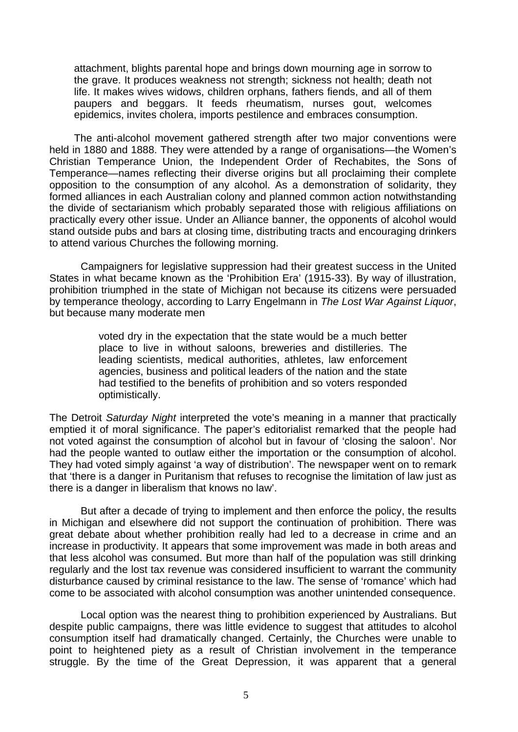attachment, blights parental hope and brings down mourning age in sorrow to the grave. It produces weakness not strength; sickness not health; death not life. It makes wives widows, children orphans, fathers fiends, and all of them paupers and beggars. It feeds rheumatism, nurses gout, welcomes epidemics, invites cholera, imports pestilence and embraces consumption.

The anti-alcohol movement gathered strength after two major conventions were held in 1880 and 1888. They were attended by a range of organisations—the Women's Christian Temperance Union, the Independent Order of Rechabites, the Sons of Temperance—names reflecting their diverse origins but all proclaiming their complete opposition to the consumption of any alcohol. As a demonstration of solidarity, they formed alliances in each Australian colony and planned common action notwithstanding the divide of sectarianism which probably separated those with religious affiliations on practically every other issue. Under an Alliance banner, the opponents of alcohol would stand outside pubs and bars at closing time, distributing tracts and encouraging drinkers to attend various Churches the following morning.

Campaigners for legislative suppression had their greatest success in the United States in what became known as the 'Prohibition Era' (1915-33). By way of illustration, prohibition triumphed in the state of Michigan not because its citizens were persuaded by temperance theology, according to Larry Engelmann in *The Lost War Against Liquor*, but because many moderate men

> voted dry in the expectation that the state would be a much better place to live in without saloons, breweries and distilleries. The leading scientists, medical authorities, athletes, law enforcement agencies, business and political leaders of the nation and the state had testified to the benefits of prohibition and so voters responded optimistically.

The Detroit *Saturday Night* interpreted the vote's meaning in a manner that practically emptied it of moral significance. The paper's editorialist remarked that the people had not voted against the consumption of alcohol but in favour of 'closing the saloon'. Nor had the people wanted to outlaw either the importation or the consumption of alcohol. They had voted simply against 'a way of distribution'. The newspaper went on to remark that 'there is a danger in Puritanism that refuses to recognise the limitation of law just as there is a danger in liberalism that knows no law'.

But after a decade of trying to implement and then enforce the policy, the results in Michigan and elsewhere did not support the continuation of prohibition. There was great debate about whether prohibition really had led to a decrease in crime and an increase in productivity. It appears that some improvement was made in both areas and that less alcohol was consumed. But more than half of the population was still drinking regularly and the lost tax revenue was considered insufficient to warrant the community disturbance caused by criminal resistance to the law. The sense of 'romance' which had come to be associated with alcohol consumption was another unintended consequence.

Local option was the nearest thing to prohibition experienced by Australians. But despite public campaigns, there was little evidence to suggest that attitudes to alcohol consumption itself had dramatically changed. Certainly, the Churches were unable to point to heightened piety as a result of Christian involvement in the temperance struggle. By the time of the Great Depression, it was apparent that a general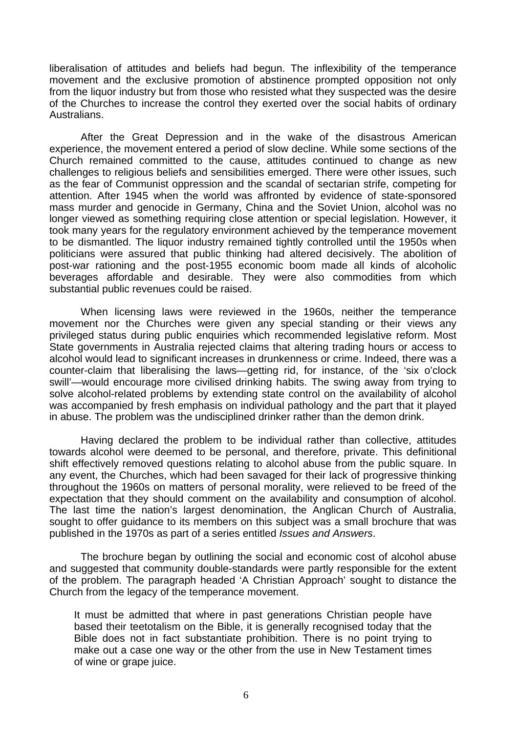liberalisation of attitudes and beliefs had begun. The inflexibility of the temperance movement and the exclusive promotion of abstinence prompted opposition not only from the liquor industry but from those who resisted what they suspected was the desire of the Churches to increase the control they exerted over the social habits of ordinary Australians.

After the Great Depression and in the wake of the disastrous American experience, the movement entered a period of slow decline. While some sections of the Church remained committed to the cause, attitudes continued to change as new challenges to religious beliefs and sensibilities emerged. There were other issues, such as the fear of Communist oppression and the scandal of sectarian strife, competing for attention. After 1945 when the world was affronted by evidence of state-sponsored mass murder and genocide in Germany, China and the Soviet Union, alcohol was no longer viewed as something requiring close attention or special legislation. However, it took many years for the regulatory environment achieved by the temperance movement to be dismantled. The liquor industry remained tightly controlled until the 1950s when politicians were assured that public thinking had altered decisively. The abolition of post-war rationing and the post-1955 economic boom made all kinds of alcoholic beverages affordable and desirable. They were also commodities from which substantial public revenues could be raised.

When licensing laws were reviewed in the 1960s, neither the temperance movement nor the Churches were given any special standing or their views any privileged status during public enquiries which recommended legislative reform. Most State governments in Australia rejected claims that altering trading hours or access to alcohol would lead to significant increases in drunkenness or crime. Indeed, there was a counter-claim that liberalising the laws—getting rid, for instance, of the 'six o'clock swill'—would encourage more civilised drinking habits. The swing away from trying to solve alcohol-related problems by extending state control on the availability of alcohol was accompanied by fresh emphasis on individual pathology and the part that it played in abuse. The problem was the undisciplined drinker rather than the demon drink.

Having declared the problem to be individual rather than collective, attitudes towards alcohol were deemed to be personal, and therefore, private. This definitional shift effectively removed questions relating to alcohol abuse from the public square. In any event, the Churches, which had been savaged for their lack of progressive thinking throughout the 1960s on matters of personal morality, were relieved to be freed of the expectation that they should comment on the availability and consumption of alcohol. The last time the nation's largest denomination, the Anglican Church of Australia, sought to offer guidance to its members on this subject was a small brochure that was published in the 1970s as part of a series entitled *Issues and Answers*.

The brochure began by outlining the social and economic cost of alcohol abuse and suggested that community double-standards were partly responsible for the extent of the problem. The paragraph headed 'A Christian Approach' sought to distance the Church from the legacy of the temperance movement.

It must be admitted that where in past generations Christian people have based their teetotalism on the Bible, it is generally recognised today that the Bible does not in fact substantiate prohibition. There is no point trying to make out a case one way or the other from the use in New Testament times of wine or grape juice.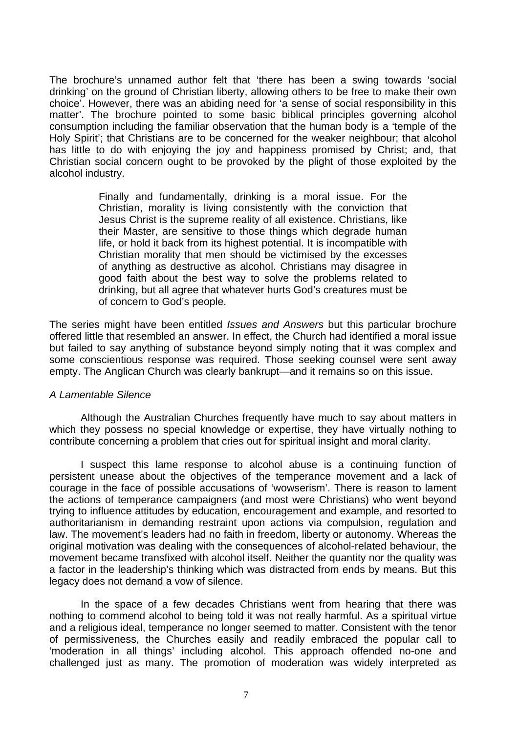The brochure's unnamed author felt that 'there has been a swing towards 'social drinking' on the ground of Christian liberty, allowing others to be free to make their own choice'. However, there was an abiding need for 'a sense of social responsibility in this matter'. The brochure pointed to some basic biblical principles governing alcohol consumption including the familiar observation that the human body is a 'temple of the Holy Spirit'; that Christians are to be concerned for the weaker neighbour; that alcohol has little to do with enjoying the joy and happiness promised by Christ; and, that Christian social concern ought to be provoked by the plight of those exploited by the alcohol industry.

> Finally and fundamentally, drinking is a moral issue. For the Christian, morality is living consistently with the conviction that Jesus Christ is the supreme reality of all existence. Christians, like their Master, are sensitive to those things which degrade human life, or hold it back from its highest potential. It is incompatible with Christian morality that men should be victimised by the excesses of anything as destructive as alcohol. Christians may disagree in good faith about the best way to solve the problems related to drinking, but all agree that whatever hurts God's creatures must be of concern to God's people.

The series might have been entitled *Issues and Answers* but this particular brochure offered little that resembled an answer. In effect, the Church had identified a moral issue but failed to say anything of substance beyond simply noting that it was complex and some conscientious response was required. Those seeking counsel were sent away empty. The Anglican Church was clearly bankrupt—and it remains so on this issue.

### *A Lamentable Silence*

Although the Australian Churches frequently have much to say about matters in which they possess no special knowledge or expertise, they have virtually nothing to contribute concerning a problem that cries out for spiritual insight and moral clarity.

I suspect this lame response to alcohol abuse is a continuing function of persistent unease about the objectives of the temperance movement and a lack of courage in the face of possible accusations of 'wowserism'. There is reason to lament the actions of temperance campaigners (and most were Christians) who went beyond trying to influence attitudes by education, encouragement and example, and resorted to authoritarianism in demanding restraint upon actions via compulsion, regulation and law. The movement's leaders had no faith in freedom, liberty or autonomy. Whereas the original motivation was dealing with the consequences of alcohol-related behaviour, the movement became transfixed with alcohol itself. Neither the quantity nor the quality was a factor in the leadership's thinking which was distracted from ends by means. But this legacy does not demand a vow of silence.

In the space of a few decades Christians went from hearing that there was nothing to commend alcohol to being told it was not really harmful. As a spiritual virtue and a religious ideal, temperance no longer seemed to matter. Consistent with the tenor of permissiveness, the Churches easily and readily embraced the popular call to 'moderation in all things' including alcohol. This approach offended no-one and challenged just as many. The promotion of moderation was widely interpreted as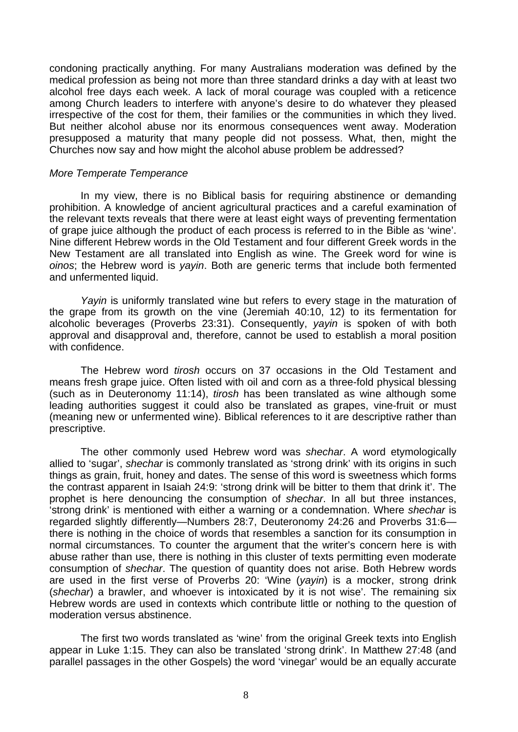condoning practically anything. For many Australians moderation was defined by the medical profession as being not more than three standard drinks a day with at least two alcohol free days each week. A lack of moral courage was coupled with a reticence among Church leaders to interfere with anyone's desire to do whatever they pleased irrespective of the cost for them, their families or the communities in which they lived. But neither alcohol abuse nor its enormous consequences went away. Moderation presupposed a maturity that many people did not possess. What, then, might the Churches now say and how might the alcohol abuse problem be addressed?

#### *More Temperate Temperance*

In my view, there is no Biblical basis for requiring abstinence or demanding prohibition. A knowledge of ancient agricultural practices and a careful examination of the relevant texts reveals that there were at least eight ways of preventing fermentation of grape juice although the product of each process is referred to in the Bible as 'wine'. Nine different Hebrew words in the Old Testament and four different Greek words in the New Testament are all translated into English as wine. The Greek word for wine is *oinos*; the Hebrew word is *yayin*. Both are generic terms that include both fermented and unfermented liquid.

*Yayin* is uniformly translated wine but refers to every stage in the maturation of the grape from its growth on the vine (Jeremiah 40:10, 12) to its fermentation for alcoholic beverages (Proverbs 23:31). Consequently, *yayin* is spoken of with both approval and disapproval and, therefore, cannot be used to establish a moral position with confidence.

The Hebrew word *tirosh* occurs on 37 occasions in the Old Testament and means fresh grape juice. Often listed with oil and corn as a three-fold physical blessing (such as in Deuteronomy 11:14), *tirosh* has been translated as wine although some leading authorities suggest it could also be translated as grapes, vine-fruit or must (meaning new or unfermented wine). Biblical references to it are descriptive rather than prescriptive.

The other commonly used Hebrew word was *shechar*. A word etymologically allied to 'sugar', *shechar* is commonly translated as 'strong drink' with its origins in such things as grain, fruit, honey and dates. The sense of this word is sweetness which forms the contrast apparent in Isaiah 24:9: 'strong drink will be bitter to them that drink it'. The prophet is here denouncing the consumption of *shechar*. In all but three instances, 'strong drink' is mentioned with either a warning or a condemnation. Where *shechar* is regarded slightly differently—Numbers 28:7, Deuteronomy 24:26 and Proverbs 31:6 there is nothing in the choice of words that resembles a sanction for its consumption in normal circumstances. To counter the argument that the writer's concern here is with abuse rather than use, there is nothing in this cluster of texts permitting even moderate consumption of *shechar*. The question of quantity does not arise. Both Hebrew words are used in the first verse of Proverbs 20: 'Wine (*yayin*) is a mocker, strong drink (*shechar*) a brawler, and whoever is intoxicated by it is not wise'. The remaining six Hebrew words are used in contexts which contribute little or nothing to the question of moderation versus abstinence.

The first two words translated as 'wine' from the original Greek texts into English appear in Luke 1:15. They can also be translated 'strong drink'. In Matthew 27:48 (and parallel passages in the other Gospels) the word 'vinegar' would be an equally accurate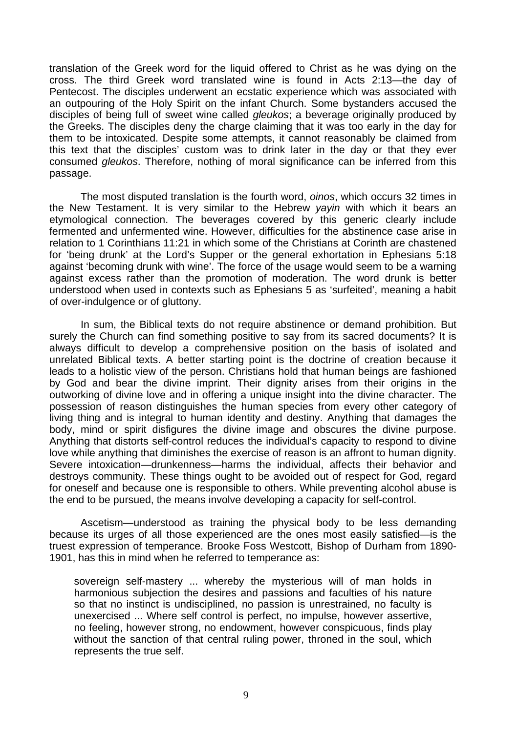translation of the Greek word for the liquid offered to Christ as he was dying on the cross. The third Greek word translated wine is found in Acts 2:13—the day of Pentecost. The disciples underwent an ecstatic experience which was associated with an outpouring of the Holy Spirit on the infant Church. Some bystanders accused the disciples of being full of sweet wine called *gleukos*; a beverage originally produced by the Greeks. The disciples deny the charge claiming that it was too early in the day for them to be intoxicated. Despite some attempts, it cannot reasonably be claimed from this text that the disciples' custom was to drink later in the day or that they ever consumed *gleukos*. Therefore, nothing of moral significance can be inferred from this passage.

The most disputed translation is the fourth word, *oinos*, which occurs 32 times in the New Testament. It is very similar to the Hebrew *yayin* with which it bears an etymological connection. The beverages covered by this generic clearly include fermented and unfermented wine. However, difficulties for the abstinence case arise in relation to 1 Corinthians 11:21 in which some of the Christians at Corinth are chastened for 'being drunk' at the Lord's Supper or the general exhortation in Ephesians 5:18 against 'becoming drunk with wine'. The force of the usage would seem to be a warning against excess rather than the promotion of moderation. The word drunk is better understood when used in contexts such as Ephesians 5 as 'surfeited', meaning a habit of over-indulgence or of gluttony.

In sum, the Biblical texts do not require abstinence or demand prohibition. But surely the Church can find something positive to say from its sacred documents? It is always difficult to develop a comprehensive position on the basis of isolated and unrelated Biblical texts. A better starting point is the doctrine of creation because it leads to a holistic view of the person. Christians hold that human beings are fashioned by God and bear the divine imprint. Their dignity arises from their origins in the outworking of divine love and in offering a unique insight into the divine character. The possession of reason distinguishes the human species from every other category of living thing and is integral to human identity and destiny. Anything that damages the body, mind or spirit disfigures the divine image and obscures the divine purpose. Anything that distorts self-control reduces the individual's capacity to respond to divine love while anything that diminishes the exercise of reason is an affront to human dignity. Severe intoxication—drunkenness—harms the individual, affects their behavior and destroys community. These things ought to be avoided out of respect for God, regard for oneself and because one is responsible to others. While preventing alcohol abuse is the end to be pursued, the means involve developing a capacity for self-control.

Ascetism—understood as training the physical body to be less demanding because its urges of all those experienced are the ones most easily satisfied—is the truest expression of temperance. Brooke Foss Westcott, Bishop of Durham from 1890- 1901, has this in mind when he referred to temperance as:

sovereign self-mastery ... whereby the mysterious will of man holds in harmonious subjection the desires and passions and faculties of his nature so that no instinct is undisciplined, no passion is unrestrained, no faculty is unexercised ... Where self control is perfect, no impulse, however assertive, no feeling, however strong, no endowment, however conspicuous, finds play without the sanction of that central ruling power, throned in the soul, which represents the true self.